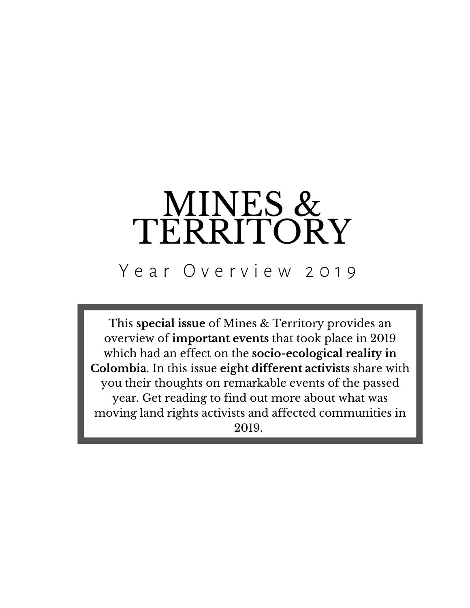# MINES & TERRITORY

## Year Overview 2019

This **special issue** of Mines & Territory provides an overview of **important events** that took place in 2019 which had an effect on the **socio-ecological reality in Colombia**. In this issue **eight different activists** share with you their thoughts on remarkable events of the passed year. Get reading to find out more about what was moving land rights activists and affected communities in 2019.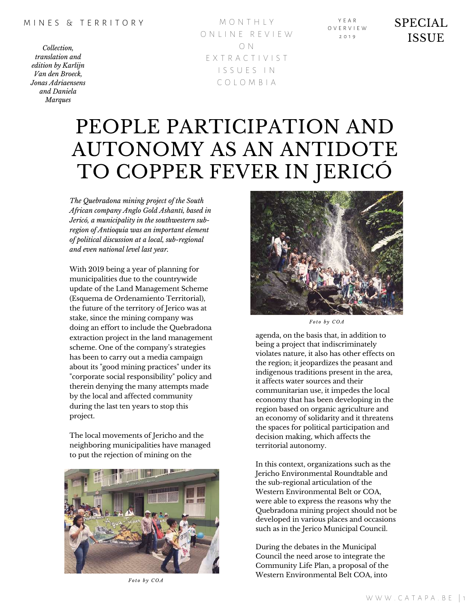M O N T H L Y O N L I N E R E V I E W O N E X T R A C T I V I S T I S S U E S I N C O L O M B I A

Y E A R O V E R V I E W  $2010$ 

### SPECIAL ISSUE

## PEOPLE PARTICIPATION AND AUTONOMY AS AN ANTIDOTE TO COPPER FEVER IN JERICÓ

*The Quebradona mining project of the South African company Anglo Gold Ashanti, based in Jericó, a municipality in the southwestern subregion of Antioquia was an important element of political discussion at a local, sub-regional and even national level last year.*

With 2019 being a year of planning for municipalities due to the countrywide update of the Land Management Scheme (Esquema de Ordenamiento Territorial), the future of the territory of Jerico was at stake, since the mining company was doing an effort to include the Quebradona extraction project in the land management scheme. One of the company's strategies has been to carry out a media campaign about its "good mining practices" under its "corporate social responsibility" policy and therein denying the many attempts made by the local and affected community during the last ten years to stop this project.

The local movements of Jericho and the neighboring municipalities have managed to put the rejection of mining on the



*Fo t o b y C O A*



 $F$ <sup>*o*</sup>  $f$ *o*  $f$ <sup>*b*</sup>  $y$   $C$ *OA* 

agenda, on the basis that, in addition to being a project that indiscriminately violates nature, it also has other effects on the region; it jeopardizes the peasant and indigenous traditions present in the area, it affects water sources and their communitarian use, it impedes the local economy that has been developing in the region based on organic agriculture and an economy of solidarity and it threatens the spaces for political participation and decision making, which affects the territorial autonomy.

In this context, organizations such as the Jericho Environmental Roundtable and the sub-regional articulation of the Western Environmental Belt or COA, were able to express the reasons why the Quebradona mining project should not be developed in various places and occasions such as in the Jerico Municipal Council.

During the debates in the Municipal Council the need arose to integrate the Community Life Plan, a proposal of the Western Environmental Belt COA, into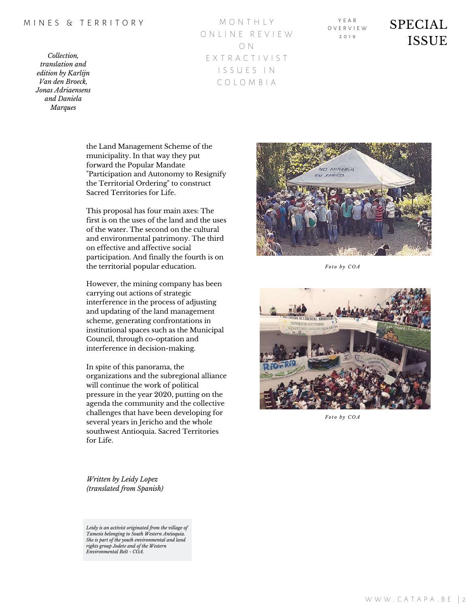*Collection, translation and edition by Karlijn Van den Broeck, Jonas Adriaensens and Daniela Marques*

M O N T H L Y O N L I N E R E V I E W O N E X T R A C T I V I S T I S S U E S I N C O L O M B I A

Y E A R O V E R V I E W  $2010$ 

### SPECIAL **ISSUE**

the Land Management Scheme of the municipality. In that way they put forward the Popular Mandate "Participation and Autonomy to Resignify the Territorial Ordering" to construct Sacred Territories for Life.

This proposal has four main axes: The first is on the uses of the land and the uses of the water. The second on the cultural and environmental patrimony. The third on effective and affective social participation. And finally the fourth is on the territorial popular education.

However, the mining company has been carrying out actions of strategic interference in the process of adjusting and updating of the land management scheme, generating confrontations in institutional spaces such as the Municipal Council, through co-optation and interference in decision-making.

In spite of this panorama, the organizations and the subregional alliance will continue the work of political pressure in the year 2020, putting on the agenda the community and the collective challenges that have been developing for several years in Jericho and the whole southwest Antioquia. Sacred Territories for Life.

MINERIA  $\overline{a}$ **TERICO** 

*Fo t o b y C O A*



*Foto by*  $COA$ 

*Written by Leidy Lopez (translated from Spanish)*

*Leidy is an activist originated from the village of Tamesis belonging to South Western Antioquia. She is part of the youth environmental and land rights group Jodete and of the Western Environmental Belt - COA.*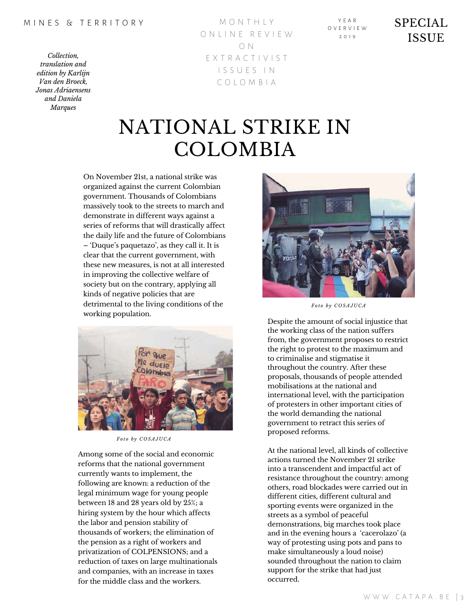*Collection, translation and edition by Karlijn Van den Broeck, Jonas Adriaensens and Daniela Marques*

M O N T H L Y O N L I N E R E V I E W O N E X T R A C T I V I S T I S S U E S I N C O L O M B I A

Y E A R O V E R V I E W  $2010$ 

SPECIAL ISSUE

## NATIONAL STRIKE IN COLOMBIA

On November 21st, a national strike was organized against the current Colombian government. Thousands of Colombians massively took to the streets to march and demonstrate in different ways against a series of reforms that will drastically affect the daily life and the future of Colombians – 'Duque's paquetazo', as they call it. It is clear that the current government, with these new measures, is not at all interested in improving the collective welfare of society but on the contrary, applying all kinds of negative policies that are detrimental to the living conditions of the working population.



*Fo t o b y C O S A J U C A*

Among some of the social and economic reforms that the national government currently wants to implement, the following are known: a reduction of the legal minimum wage for young people between 18 and 28 years old by 25%; a hiring system by the hour which affects the labor and pension stability of thousands of workers; the elimination of the pension as a right of workers and privatization of COLPENSIONS; and a reduction of taxes on large multinationals and companies, with an increase in taxes for the middle class and the workers.



*Fo t o b y C O S A J U C A*

Despite the amount of social injustice that the working class of the nation suffers from, the government proposes to restrict the right to protest to the maximum and to criminalise and stigmatise it throughout the country. After these proposals, thousands of people attended mobilisations at the national and international level, with the participation of protesters in other important cities of the world demanding the national government to retract this series of proposed reforms.

At the national level, all kinds of collective actions turned the November 21 strike into a transcendent and impactful act of resistance throughout the country: among others, road blockades were carried out in different cities, different cultural and sporting events were organized in the streets as a symbol of peaceful demonstrations, big marches took place and in the evening hours a 'cacerolazo' (a way of protesting using pots and pans to make simultaneously a loud noise) sounded throughout the nation to claim support for the strike that had just occurred.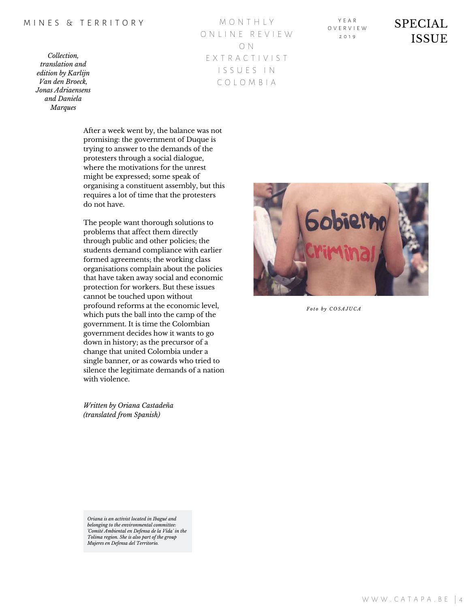*Collection, translation and edition by Karlijn Van den Broeck, Jonas Adriaensens and Daniela Marques*

M O N T H L Y O N L I N E R E V I E W O N E X T R A C T I V I S T I S S U E S I N C O L O M B I A

Y E A R O V E R V I E W  $2010$ 

### SPECIAL ISSUE

After a week went by, the balance was not promising: the government of Duque is trying to answer to the demands of the protesters through a social dialogue, where the motivations for the unrest might be expressed; some speak of organising a constituent assembly, but this requires a lot of time that the protesters do not have.

The people want thorough solutions to problems that affect them directly through public and other policies; the students demand compliance with earlier formed agreements; the working class organisations complain about the policies that have taken away social and economic protection for workers. But these issues cannot be touched upon without profound reforms at the economic level, which puts the ball into the camp of the government. It is time the Colombian government decides how it wants to go down in history; as the precursor of a change that united Colombia under a single banner, or as cowards who tried to silence the legitimate demands of a nation with violence.

*Written by Oriana Castadeña (translated from Spanish)*



*Fo t o b y C O S A J U C A*

*Oriana is an activist located in Ibagué and belonging to the environmental committee: 'Comité Ambiental en Defensa de la Vida' in the Tolima region. She is also part of the group Mujeres en Defensa del Territorio.*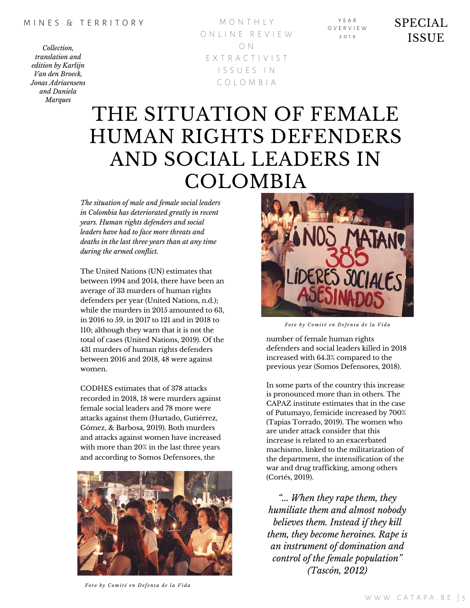M O N T H L Y O N L I N E R E V I E W O N E X T R A C T I V I S T I S S U E S I N C O L O M B I A

Y E A R O V E R V I E W  $2010$ 

SPECIAL ISSUE

## THE SITUATION OF FEMALE HUMAN RIGHTS DEFENDERS AND SOCIAL LEADERS IN COLOMBIA

*The situation of male and female social leaders in Colombia has deteriorated greatly in recent years. Human rights defenders and social leaders have had to face more threats and deaths in the last three years than at any time during the armed conflict.*

The United Nations (UN) estimates that between 1994 and 2014, there have been an average of 33 murders of human rights defenders per year (United Nations, n.d.); while the murders in 2015 amounted to 63, in 2016 to 59, in 2017 to 121 and in 2018 to 110; although they warn that it is not the total of cases (United Nations, 2019). Of the 431 murders of human rights defenders between 2016 and 2018, 48 were against women.

CODHES estimates that of 378 attacks recorded in 2018, 18 were murders against female social leaders and 78 more were attacks against them (Hurtado, Gutiérrez, Gómez, & Barbosa, 2019). Both murders and attacks against women have increased with more than 20% in the last three years and according to Somos Defensores, the





Foto by Comité en Defensa de la Vida

number of female human rights defenders and social leaders killed in 2018 increased with 64.3% compared to the previous year (Somos Defensores, 2018).

In some parts of the country this increase is pronounced more than in others. The CAPAZ institute estimates that in the case of Putumayo, femicide increased by 700% (Tapias Torrado, 2019). The women who are under attack consider that this increase is related to an exacerbated machismo, linked to the militarization of the department, the intensification of the war and drug trafficking, among others (Cortés, 2019).

*"... When they rape them, they humiliate them and almost nobody believes them. Instead if they kill them, they become heroines. Rape is an instrument of domination and control of the female population" (Tascón, 2012)*

Foto by Comité en Defensa de la Vida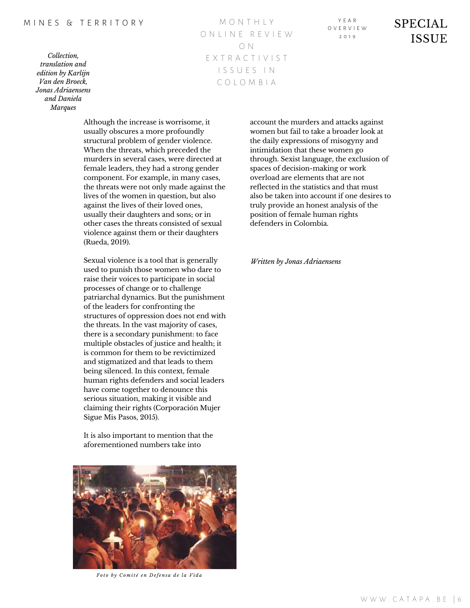*Collection, translation and edition by Karlijn Van den Broeck, Jonas Adriaensens and Daniela Marques*

M O N T H L Y O N L I N E R E V I E W O N E X T R A C T I V I S T I S S U E S I N C O L O M B I A

Y E A R O V E R V I E W  $2010$ 

SPECIAL ISSUE

Although the increase is worrisome, it usually obscures a more profoundly structural problem of gender violence. When the threats, which preceded the murders in several cases, were directed at female leaders, they had a strong gender component. For example, in many cases, the threats were not only made against the lives of the women in question, but also against the lives of their loved ones, usually their daughters and sons; or in other cases the threats consisted of sexual violence against them or their daughters (Rueda, 2019).

Sexual violence is a tool that is generally used to punish those women who dare to raise their voices to participate in social processes of change or to challenge patriarchal dynamics. But the punishment of the leaders for confronting the structures of oppression does not end with the threats. In the vast majority of cases, there is a secondary punishment: to face multiple obstacles of justice and health; it is common for them to be revictimized and stigmatized and that leads to them being silenced. In this context, female human rights defenders and social leaders have come together to denounce this serious situation, making it visible and claiming their rights (Corporación Mujer Sigue Mis Pasos, 2015).

It is also important to mention that the aforementioned numbers take into



Foto by Comité en Defensa de la Vida

account the murders and attacks against women but fail to take a broader look at the daily expressions of misogyny and intimidation that these women go through. Sexist language, the exclusion of spaces of decision-making or work overload are elements that are not reflected in the statistics and that must also be taken into account if one desires to truly provide an honest analysis of the position of female human rights defenders in Colombia.

*Written by Jonas Adriaensens*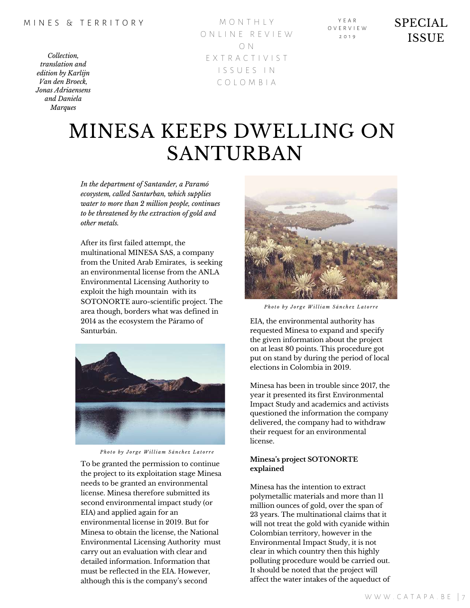M O N T H L Y O N L I N E R E V I E W O N E X T R A C T I V I S T I S S U E S I N C O L O M B I A

Y E A R O V E R V I E W  $2010$ 

SPECIAL ISSUE

## MINESA KEEPS DWELLING ON SANTURBAN

*In the department of Santander, a Paramó ecosystem, called Santurban, which supplies water to more than 2 million people, continues to be threatened by the extraction of gold and other metals.*

After its first failed attempt, the multinational MINESA SAS, a company from the United Arab Emirates, is seeking an environmental license from the ANLA Environmental Licensing Authority to exploit the high mountain with its SOTONORTE auro-scientific project. The area though, borders what was defined in 2014 as the ecosystem the Páramo of Santurbán.



Photo by Jorge William Sánchez Latorre

To be granted the permission to continue the project to its exploitation stage Minesa needs to be granted an environmental license. Minesa therefore submitted its second environmental impact study (or EIA) and applied again for an environmental license in 2019. But for Minesa to obtain the license, the National Environmental Licensing Authority must carry out an evaluation with clear and detailed information. Information that must be reflected in the EIA. However, although this is the company's second



Photo by Jorge William Sánchez Latorre

EIA, the environmental authority has requested Minesa to expand and specify the given information about the project on at least 80 points. This procedure got put on stand by during the period of local elections in Colombia in 2019.

Minesa has been in trouble since 2017, the year it presented its first Environmental Impact Study and academics and activists questioned the information the company delivered, the company had to withdraw their request for an environmental license.

### **Minesa's project SOTONORTE explained**

Minesa has the intention to extract polymetallic materials and more than 11 million ounces of gold, over the span of 23 years. The multinational claims that it will not treat the gold with cyanide within Colombian territory, however in the Environmental Impact Study, it is not clear in which country then this highly polluting procedure would be carried out. It should be noted that the project will affect the water intakes of the aqueduct of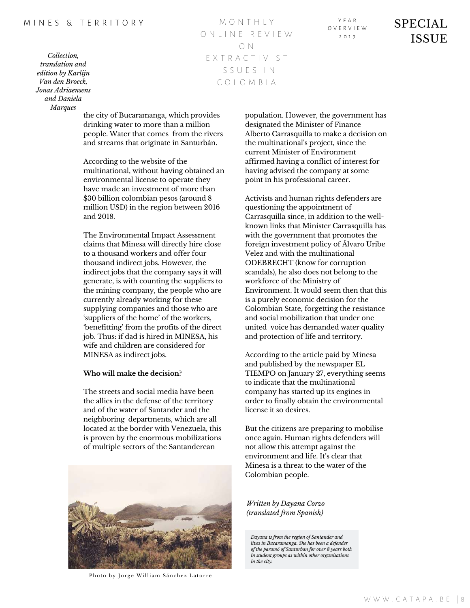*Collection, translation and edition by Karlijn Van den Broeck, Jonas Adriaensens and Daniela Marques*

M O N T H L Y O N L I N E R E V I E W O N E X T R A C T I V I S T I S S U E S I N C O L O M B I A

Y E A R O V E R V I E W  $2010$ 

SPECIAL **ISSUE** 

the city of Bucaramanga, which provides drinking water to more than a million people. Water that comes from the rivers and streams that originate in Santurbán.

According to the website of the multinational, without having obtained an environmental license to operate they have made an investment of more than \$30 billion colombian pesos (around 8 million USD) in the region between 2016 and 2018.

The Environmental Impact Assessment claims that Minesa will directly hire close to a thousand workers and offer four thousand indirect jobs. However, the indirect jobs that the company says it will generate, is with counting the suppliers to the mining company, the people who are currently already working for these supplying companies and those who are 'suppliers of the home' of the workers, 'benefitting' from the profits of the direct job. Thus: if dad is hired in MINESA, his wife and children are considered for MINESA as indirect jobs.

### **Who will make the decision?**

The streets and social media have been the allies in the defense of the territory and of the water of Santander and the neighboring departments, which are all located at the border with Venezuela, this is proven by the enormous mobilizations of multiple sectors of the Santanderean



Photo by Jorge William Sánchez Latorre

population. However, the government has designated the Minister of Finance Alberto Carrasquilla to make a decision on the multinational's project, since the current Minister of Environment affirmed having a conflict of interest for having advised the company at some point in his professional career.

Activists and human rights defenders are questioning the appointment of Carrasquilla since, in addition to the wellknown links that Minister Carrasquilla has with the government that promotes the foreign investment policy of Álvaro Uribe Velez and with the multinational ODEBRECHT (know for corruption scandals), he also does not belong to the workforce of the Ministry of Environment. It would seem then that this is a purely economic decision for the Colombian State, forgetting the resistance and social mobilization that under one united voice has demanded water quality and protection of life and territory.

According to the article paid by Minesa and published by the newspaper EL TIEMPO on January 27, everything seems to indicate that the multinational company has started up its engines in order to finally obtain the environmental license it so desires.

But the citizens are preparing to mobilise once again. Human rights defenders will not allow this attempt against the environment and life. It's clear that Minesa is a threat to the water of the Colombian people.

*Written by Dayana Corzo (translated from Spanish)*

*Dayana is from the region of Santander and lives in Bucaramanga. She has been a defender of the paramó of Santurban for over 8 years both in student groups as within other organisations in the city.*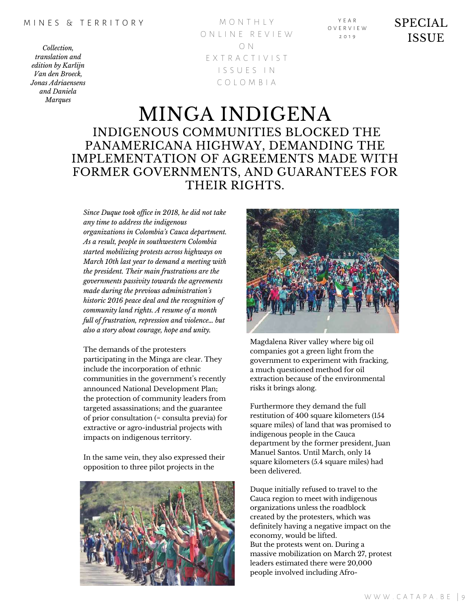*Collection, translation and edition by Karlijn Van den Broeck, Jonas Adriaensens and Daniela Marques*

M O N T H L Y O N L I N E R E V I E W O N E X T R A C T I V I S T I S S U E S I N C O L O M B I A

Y E A R O V E R V I E W  $2010$ 

SPECIAL ISSUE

### MINGA INDIGENA INDIGENOUS COMMUNITIES BLOCKED THE PANAMERICANA HIGHWAY, DEMANDING THE IMPLEMENTATION OF AGREEMENTS MADE WITH FORMER GOVERNMENTS, AND GUARANTEES FOR THEIR RIGHTS.

*Since Duque took of ice in 2018, he did not take any time to address the indigenous organizations in Colombia's Cauca department. As a result, people in southwestern Colombia started mobilizing protests across highways on March 10th last year to demand a meeting with the president. Their main frustrations are the governments passivity towards the agreements made during the previous administration's historic 2016 peace deal and the recognition of community land rights. A resume of a month full of frustration, repression and violence… but also a story about courage, hope and unity.*

The demands of the protesters participating in the Minga are clear. They include the incorporation of ethnic communities in the government's recently announced National Development Plan; the protection of community leaders from targeted assassinations; and the guarantee of prior consultation (= consulta previa) for extractive or agro-industrial projects with impacts on indigenous territory.

In the same vein, they also expressed their opposition to three pilot projects in the





Magdalena River valley where big oil companies got a green light from the government to experiment with fracking, a much questioned method for oil extraction because of the environmental risks it brings along.

Furthermore they demand the full restitution of 400 square kilometers (154 square miles) of land that was promised to indigenous people in the Cauca department by the former president, Juan Manuel Santos. Until March, only 14 square kilometers (5.4 square miles) had been delivered.

Duque initially refused to travel to the Cauca region to meet with indigenous organizations unless the roadblock created by the protesters, which was definitely having a negative impact on the economy, would be lifted. But the protests went on. During a massive mobilization on March 27, protest leaders estimated there were 20,000 people involved including Afro-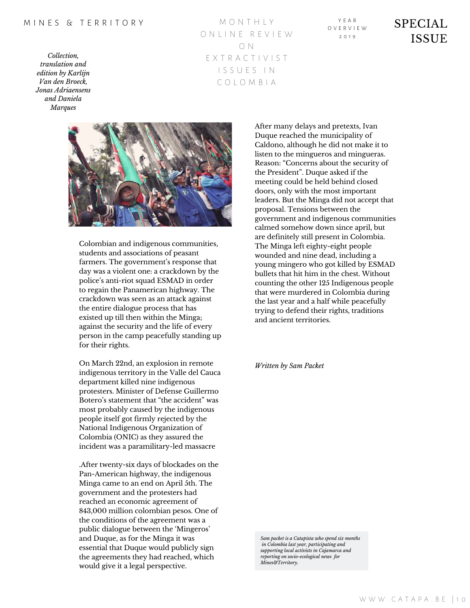*Collection, translation and edition by Karlijn Van den Broeck, Jonas Adriaensens and Daniela Marques*

M O N T H L Y O N L I N E R E V I E W O N E X T R A C T I V I S T I S S U E S I N C O L O M B I A

Y E A R O V E R V I E W  $2010$ 

SPECIAL ISSUE



Colombian and indigenous communities, students and associations of peasant farmers. The government's response that day was a violent one: a crackdown by the police's anti-riot squad ESMAD in order to regain the Panamerican highway. The crackdown was seen as an attack against the entire dialogue process that has existed up till then within the Minga; against the security and the life of every person in the camp peacefully standing up for their rights.

On March 22nd, an explosion in remote indigenous territory in the Valle del Cauca department killed nine indigenous protesters. Minister of Defense Guillermo Botero's statement that "the accident" was most probably caused by the indigenous people itself got firmly rejected by the National Indigenous Organization of Colombia (ONIC) as they assured the incident was a paramilitary-led massacre

.After twenty-six days of blockades on the Pan-American highway, the indigenous Minga came to an end on April 5th. The government and the protesters had reached an economic agreement of 843,000 million colombian pesos. One of the conditions of the agreement was a public dialogue between the 'Mingeros' and Duque, as for the Minga it was essential that Duque would publicly sign the agreements they had reached, which would give it a legal perspective.

After many delays and pretexts, Ivan Duque reached the municipality of Caldono, although he did not make it to listen to the mingueros and mingueras. Reason: "Concerns about the security of the President". Duque asked if the meeting could be held behind closed doors, only with the most important leaders. But the Minga did not accept that proposal. Tensions between the government and indigenous communities calmed somehow down since april, but are definitely still present in Colombia. The Minga left eighty-eight people wounded and nine dead, including a young mingero who got killed by ESMAD bullets that hit him in the chest. Without counting the other 125 Indigenous people that were murdered in Colombia during the last year and a half while peacefully trying to defend their rights, traditions and ancient territories.

*Written by Sam Packet*

*Sam packet is a Catapista who spend six months in Colombia last year, participating and supporting local activists in Cajamarca and reporting on socio-ecological news for Mines&Territory.*

W W W . C A T A P A . B E | 10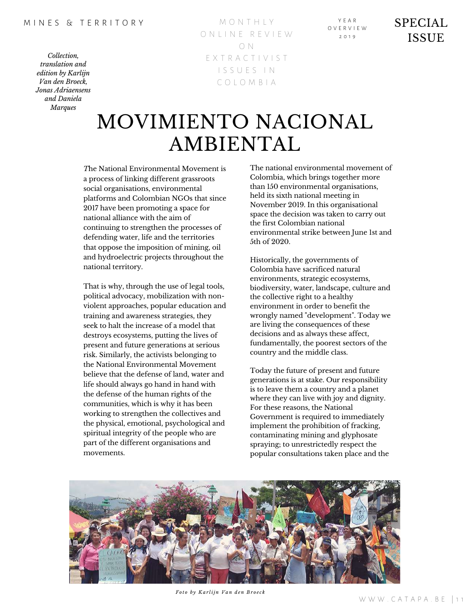M O N T H L Y O N L I N E R E V I E W O N E X T R A C T I V I S T I S S U E S I N C O L O M B I A

Y E A R O V E R V I E W  $2010$ 

SPECIAL ISSUE

## MOVIMIENTO NACIONAL AMBIENTAL

*T*he National Environmental Movement is a process of linking different grassroots social organisations, environmental platforms and Colombian NGOs that since 2017 have been promoting a space for national alliance with the aim of continuing to strengthen the processes of defending water, life and the territories that oppose the imposition of mining, oil and hydroelectric projects throughout the national territory.

That is why, through the use of legal tools, political advocacy, mobilization with nonviolent approaches, popular education and training and awareness strategies, they seek to halt the increase of a model that destroys ecosystems, putting the lives of present and future generations at serious risk. Similarly, the activists belonging to the National Environmental Movement believe that the defense of land, water and life should always go hand in hand with the defense of the human rights of the communities, which is why it has been working to strengthen the collectives and the physical, emotional, psychological and spiritual integrity of the people who are part of the different organisations and movements.

The national environmental movement of Colombia, which brings together more than 150 environmental organisations, held its sixth national meeting in November 2019. In this organisational space the decision was taken to carry out the first Colombian national environmental strike between June 1st and 5th of 2020.

Historically, the governments of Colombia have sacrificed natural environments, strategic ecosystems, biodiversity, water, landscape, culture and the collective right to a healthy environment in order to benefit the wrongly named "development". Today we are living the consequences of these decisions and as always these affect, fundamentally, the poorest sectors of the country and the middle class.

Today the future of present and future generations is at stake. Our responsibility is to leave them a country and a planet where they can live with joy and dignity. For these reasons, the National Government is required to immediately implement the prohibition of fracking, contaminating mining and glyphosate spraying; to unrestrictedly respect the popular consultations taken place and the



*Fo t o b y K a r lij n V a n d e n B r o e c k*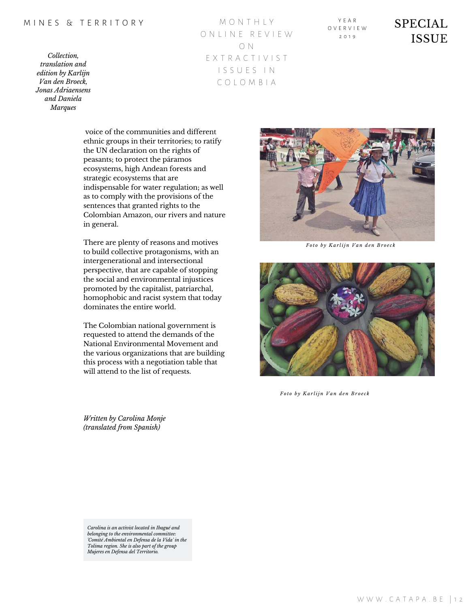*Collection, translation and edition by Karlijn Van den Broeck, Jonas Adriaensens and Daniela Marques*

M O N T H L Y O N L I N E R E V I E W O N E X T R A C T I V I S T I S S U E S I N C O L O M B I A

Y E A R O V E R V I E W  $2010$ 

### SPECIAL ISSUE

voice of the communities and different ethnic groups in their territories; to ratify the UN declaration on the rights of peasants; to protect the páramos ecosystems, high Andean forests and strategic ecosystems that are indispensable for water regulation; as well as to comply with the provisions of the sentences that granted rights to the Colombian Amazon, our rivers and nature in general.

There are plenty of reasons and motives to build collective protagonisms, with an intergenerational and intersectional perspective, that are capable of stopping the social and environmental injustices promoted by the capitalist, patriarchal, homophobic and racist system that today dominates the entire world.

The Colombian national government is requested to attend the demands of the National Environmental Movement and the various organizations that are building this process with a negotiation table that will attend to the list of requests.

*Fo t o b y K a r lij n V a n d e n B r o e c k*



*Fo t o b y K a r lij n V a n d e n B r o e c k*

*Written by Carolina Monje (translated from Spanish)*

*Carolina is an activist located in Ibagué and belonging to the environmental committee: 'Comité Ambiental en Defensa de la Vida' in the Tolima region. She is also part of the group Mujeres en Defensa del Territorio.*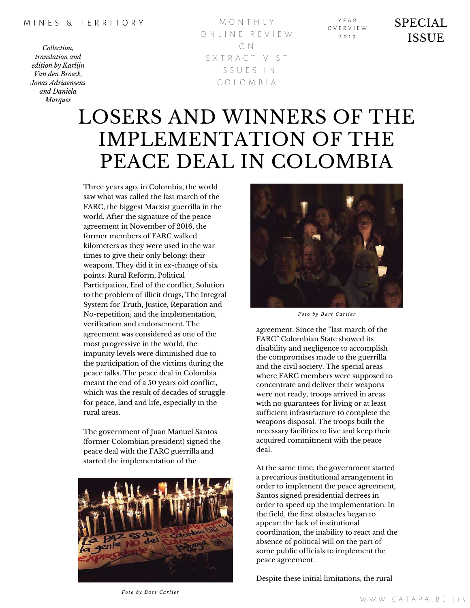M O N T H L Y O N L I N E R E V I E W O N E X T R A C T I V I S T I S S U E S I N C O L O M B I A

Y E A R O V E R V I E W  $2010$ 

SPECIAL ISSUE

## LOSERS AND WINNERS OF THE IMPLEMENTATION OF THE PEACE DEAL IN COLOMBIA

Three years ago, in Colombia, the world saw what was called the last march of the FARC, the biggest Marxist guerrilla in the world. After the signature of the peace agreement in November of 2016, the former members of FARC walked kilometers as they were used in the war times to give their only belong: their weapons. They did it in ex-change of six points: Rural Reform, Political Participation, End of the conflict, Solution to the problem of illicit drugs, The Integral System for Truth, Justice, Reparation and No-repetition; and the implementation, verification and endorsement. The agreement was considered as one of the most progressive in the world, the impunity levels were diminished due to the participation of the victims during the peace talks. The peace deal in Colombia meant the end of a 50 years old conflict, which was the result of decades of struggle for peace, land and life, especially in the rural areas.

The government of Juan Manuel Santos (former Colombian president) signed the peace deal with the FARC guerrilla and started the implementation of the





*Fo t o b y B a r t C a r li e r*

agreement. Since the "last march of the FARC" Colombian State showed its disability and negligence to accomplish the compromises made to the guerrilla and the civil society. The special areas where FARC members were supposed to concentrate and deliver their weapons were not ready, troops arrived in areas with no guarantees for living or at least sufficient infrastructure to complete the weapons disposal. The troops built the necessary facilities to live and keep their acquired commitment with the peace deal.

At the same time, the government started a precarious institutional arrangement in order to implement the peace agreement, Santos signed presidential decrees in order to speed up the implementation. In the field, the first obstacles began to appear: the lack of institutional coordination, the inability to react and the absence of political will on the part of some public officials to implement the peace agreement.

Despite these initial limitations, the rural

*Fo t o b y B a r t C a r li e r*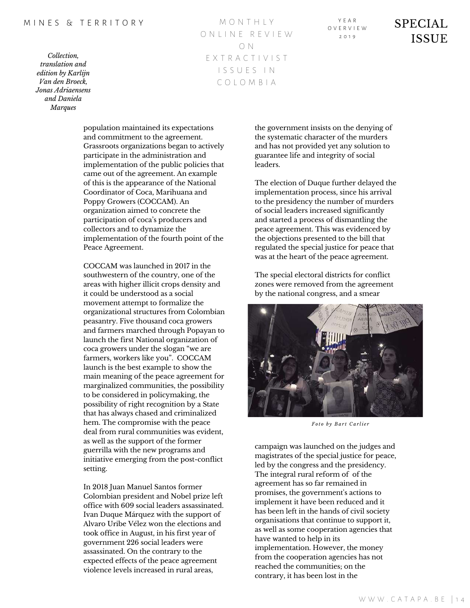*Collection, translation and edition by Karlijn Van den Broeck, Jonas Adriaensens and Daniela Marques*

M O N T H L Y O N L I N E R E V I E W O N E X T R A C T I V I S T I S S U E S I N C O L O M B I A

population maintained its expectations and commitment to the agreement. Grassroots organizations began to actively participate in the administration and implementation of the public policies that came out of the agreement. An example of this is the appearance of the National Coordinator of Coca, Marihuana and Poppy Growers (COCCAM). An organization aimed to concrete the participation of coca's producers and collectors and to dynamize the implementation of the fourth point of the Peace Agreement.

COCCAM was launched in 2017 in the southwestern of the country, one of the areas with higher illicit crops density and it could be understood as a social movement attempt to formalize the organizational structures from Colombian peasantry. Five thousand coca growers and farmers marched through Popayan to launch the first National organization of coca growers under the slogan "we are farmers, workers like you". COCCAM launch is the best example to show the main meaning of the peace agreement for marginalized communities, the possibility to be considered in policymaking, the possibility of right recognition by a State that has always chased and criminalized hem. The compromise with the peace deal from rural communities was evident, as well as the support of the former guerrilla with the new programs and initiative emerging from the post-conflict setting.

In 2018 Juan Manuel Santos former Colombian president and Nobel prize left office with 609 social leaders assassinated. Ivan Duque Márquez with the support of Alvaro Uribe Vélez won the elections and took office in August, in his first year of government 226 social leaders were assassinated. On the contrary to the expected effects of the peace agreement violence levels increased in rural areas,

the government insists on the denying of the systematic character of the murders and has not provided yet any solution to guarantee life and integrity of social leaders.

The election of Duque further delayed the implementation process, since his arrival to the presidency the number of murders of social leaders increased significantly and started a process of dismantling the peace agreement. This was evidenced by the objections presented to the bill that regulated the special justice for peace that was at the heart of the peace agreement.

The special electoral districts for conflict zones were removed from the agreement by the national congress, and a smear



*Fo t o b y B a r t C a r li e r*

campaign was launched on the judges and magistrates of the special justice for peace, led by the congress and the presidency. The integral rural reform of of the agreement has so far remained in promises, the government's actions to implement it have been reduced and it has been left in the hands of civil society organisations that continue to support it, as well as some cooperation agencies that have wanted to help in its implementation. However, the money from the cooperation agencies has not reached the communities; on the contrary, it has been lost in the

Y E A R O V E R V I E W  $2010$ 

SPECIAL **ISSUE**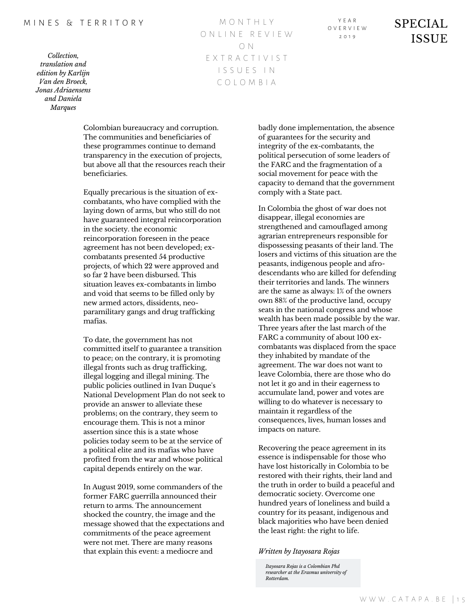#### M INES & TERRITORY

*Collection, translation and edition by Karlijn Van den Broeck, Jonas Adriaensens and Daniela Marques*

M O N T H L Y O N L I N E R E V I E W O N E X T R A C T I V I S T I S S U E S I N C O L O M B I A

Y E A R O V E R V I E W  $2010$ 

SPECIAL **ISSUE** 

Colombian bureaucracy and corruption. The communities and beneficiaries of these programmes continue to demand transparency in the execution of projects, but above all that the resources reach their beneficiaries.

Equally precarious is the situation of excombatants, who have complied with the laying down of arms, but who still do not have guaranteed integral reincorporation in the society. the economic reincorporation foreseen in the peace agreement has not been developed; excombatants presented 54 productive projects, of which 22 were approved and so far 2 have been disbursed. This situation leaves ex-combatants in limbo and void that seems to be filled only by new armed actors, dissidents, neoparamilitary gangs and drug trafficking mafias.

To date, the government has not committed itself to guarantee a transition to peace; on the contrary, it is promoting illegal fronts such as drug trafficking, illegal logging and illegal mining. The public policies outlined in Ivan Duque's National Development Plan do not seek to provide an answer to alleviate these problems; on the contrary, they seem to encourage them. This is not a minor assertion since this is a state whose policies today seem to be at the service of a political elite and its mafias who have profited from the war and whose political capital depends entirely on the war.

In August 2019, some commanders of the former FARC guerrilla announced their return to arms. The announcement shocked the country, the image and the message showed that the expectations and commitments of the peace agreement were not met. There are many reasons that explain this event: a mediocre and

badly done implementation, the absence of guarantees for the security and integrity of the ex-combatants, the political persecution of some leaders of the FARC and the fragmentation of a social movement for peace with the capacity to demand that the government comply with a State pact.

In Colombia the ghost of war does not disappear, illegal economies are strengthened and camouflaged among agrarian entrepreneurs responsible for dispossessing peasants of their land. The losers and victims of this situation are the peasants, indigenous people and afrodescendants who are killed for defending their territories and lands. The winners are the same as always: 1% of the owners own 88% of the productive land, occupy seats in the national congress and whose wealth has been made possible by the war. Three years after the last march of the FARC a community of about 100 excombatants was displaced from the space they inhabited by mandate of the agreement. The war does not want to leave Colombia, there are those who do not let it go and in their eagerness to accumulate land, power and votes are willing to do whatever is necessary to maintain it regardless of the consequences, lives, human losses and impacts on nature.

Recovering the peace agreement in its essence is indispensable for those who have lost historically in Colombia to be restored with their rights, their land and the truth in order to build a peaceful and democratic society. Overcome one hundred years of loneliness and build a country for its peasant, indigenous and black majorities who have been denied the least right: the right to life.

### *Written by Itayosara Rojas*

*Itayosara Rojas is a Colombian Phd researcher at the Erasmus university of Rotterdam.*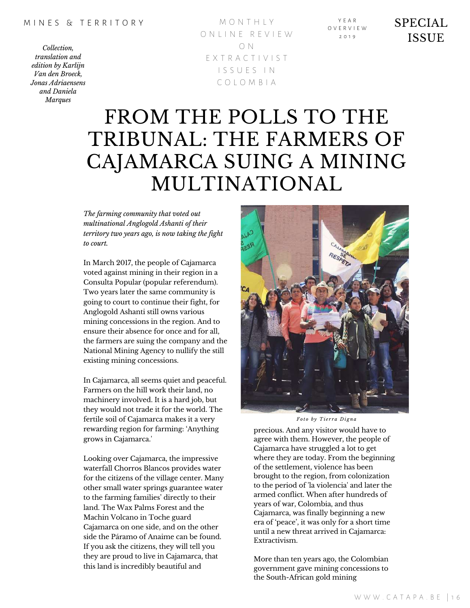M O N T H L Y O N L I N E R E V I E W O N E X T R A C T I V I S T I S S U E S I N C O L O M B I A

Y E A R O V E R V I E W  $2010$ 

### SPECIAL ISSUE

## FROM THE POLLS TO THE TRIBUNAL: THE FARMERS OF CAJAMARCA SUING A MINING MULTINATIONAL

*The farming community that voted out multinational Anglogold Ashanti of their territory two years ago, is now taking the fight to court.*

In March 2017, the people of Cajamarca voted against mining in their region in a Consulta Popular (popular referendum). Two years later the same community is going to court to continue their fight, for Anglogold Ashanti still owns various mining concessions in the region. And to ensure their absence for once and for all, the farmers are suing the company and the National Mining Agency to nullify the still existing mining concessions.

In Cajamarca, all seems quiet and peaceful. Farmers on the hill work their land, no machinery involved. It is a hard job, but they would not trade it for the world. The fertile soil of Cajamarca makes it a very rewarding region for farming: 'Anything grows in Cajamarca.'

Looking over Cajamarca, the impressive waterfall Chorros Blancos provides water for the citizens of the village center. Many other small water springs guarantee water to the farming families' directly to their land. The Wax Palms Forest and the Machin Volcano in Toche guard Cajamarca on one side, and on the other side the Páramo of Anaime can be found. If you ask the citizens, they will tell you they are proud to live in Cajamarca, that this land is incredibly beautiful and



*Fo t o b y T i e r r a D i g n a*

precious. And any visitor would have to agree with them. However, the people of Cajamarca have struggled a lot to get where they are today. From the beginning of the settlement, violence has been brought to the region, from colonization to the period of 'la violencia' and later the armed conflict. When after hundreds of years of war, Colombia, and thus Cajamarca, was finally beginning a new era of 'peace', it was only for a short time until a new threat arrived in Cajamarca: Extractivism.

More than ten years ago, the Colombian government gave mining concessions to the South-African gold mining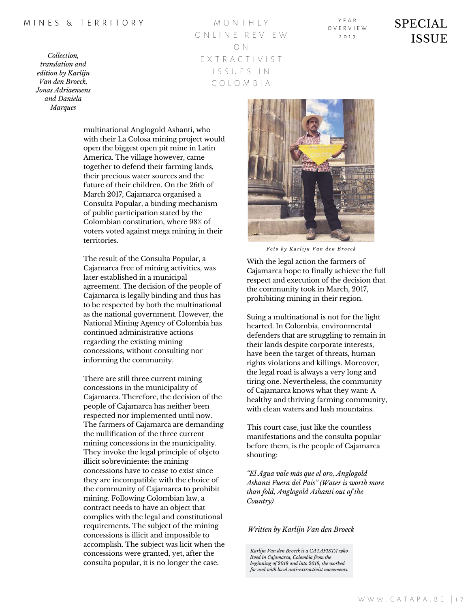*Collection, translation and edition by Karlijn Van den Broeck, Jonas Adriaensens and Daniela Marques*

M O N T H L Y O N L I N E R E V I E W O N E X T R A C T I V I S T I S S U E S I N C O L O M B I A

Y E A R O V E R V I E W  $2010$ 

### SPECIAL ISSUE

multinational Anglogold Ashanti, who with their La Colosa mining project would open the biggest open pit mine in Latin America. The village however, came together to defend their farming lands, their precious water sources and the future of their children. On the 26th of March 2017, Cajamarca organised a Consulta Popular, a binding mechanism of public participation stated by the Colombian constitution, where 98% of voters voted against mega mining in their territories.

The result of the Consulta Popular, a Cajamarca free of mining activities, was later established in a municipal agreement. The decision of the people of Cajamarca is legally binding and thus has to be respected by both the multinational as the national government. However, the National Mining Agency of Colombia has continued administrative actions regarding the existing mining concessions, without consulting nor informing the community.

There are still three current mining concessions in the municipality of Cajamarca. Therefore, the decision of the people of Cajamarca has neither been respected nor implemented until now. The farmers of Cajamarca are demanding the nullification of the three current mining concessions in the municipality. They invoke the legal principle of objeto illicit sobreviniente: the mining concessions have to cease to exist since they are incompatible with the choice of the community of Cajamarca to prohibit mining. Following Colombian law, a contract needs to have an object that complies with the legal and constitutional requirements. The subject of the mining concessions is illicit and impossible to accomplish. The subject was licit when the concessions were granted, yet, after the consulta popular, it is no longer the case.



*Fo t o b y K a r lij n V a n d e n B r o e c k*

With the legal action the farmers of Cajamarca hope to finally achieve the full respect and execution of the decision that the community took in March, 2017, prohibiting mining in their region.

Suing a multinational is not for the light hearted. In Colombia, environmental defenders that are struggling to remain in their lands despite corporate interests, have been the target of threats, human rights violations and killings. Moreover, the legal road is always a very long and tiring one. Nevertheless, the community of Cajamarca knows what they want: A healthy and thriving farming community, with clean waters and lush mountains.

This court case, just like the countless manifestations and the consulta popular before them, is the people of Cajamarca shouting:

*"El Agua vale más que el oro, Anglogold Ashanti Fuera del Pais" (Water is worth more than fold, Anglogold Ashanti out of the Country)*

#### *Written by Karlijn Van den Broeck*

*Karlijn Van den Broeck is a CATAPISTA who lived in Cajamarca, Colombia from the beginning of 2018 and into 2019, she worked for and with local anti-extractivist movements.*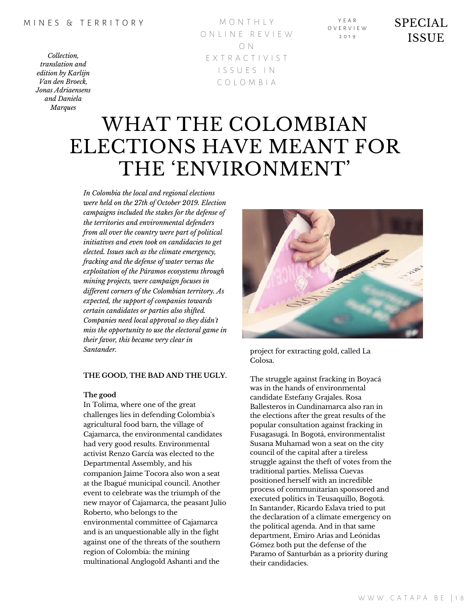M O N T H L Y O N L I N E R E V I E W O N E X T R A C T I V I S T I S S U E S I N C O L O M B I A

Y E A R O V E R V I E W  $2010$ 

### SPECIAL ISSUE

## WHAT THE COLOMBIAN ELECTIONS HAVE MEANT FOR THE 'ENVIRONMENT'

*In Colombia the local and regional elections were held on the 27th of October 2019. Election campaigns included the stakes for the defense of the territories and environmental defenders from all over the country were part of political initiatives and even took on candidacies to get elected. Issues such as the climate emergency, fracking and the defense of water versus the exploitation of the Páramos ecosystems through mining projects, were campaign focuses in dif erent corners of the Colombian territory. As expected, the support of companies towards certain candidates or parties also shifted. Companies need local approval so they didn't miss the opportunity to use the electoral game in their favor, this became very clear in Santander.* project for extracting gold, called La

### **THE GOOD, THE BAD AND THE UGLY.**

#### **The good**

In Tolima, where one of the great challenges lies in defending Colombia's agricultural food barn, the village of Cajamarca, the environmental candidates had very good results. Environmental activist Renzo García was elected to the Departmental Assembly, and his companion Jaime Tocora also won a seat at the Ibagué municipal council. Another event to celebrate was the triumph of the new mayor of Cajamarca, the peasant Julio Roberto, who belongs to the environmental committee of Cajamarca and is an unquestionable ally in the fight against one of the threats of the southern region of Colombia: the mining multinational Anglogold Ashanti and the



Colosa.

The struggle against fracking in Boyacá was in the hands of environmental candidate Estefany Grajales. Rosa Ballesteros in Cundinamarca also ran in the elections after the great results of the popular consultation against fracking in Fusagasugá. In Bogotá, environmentalist Susana Muhamad won a seat on the city council of the capital after a tireless struggle against the theft of votes from the traditional parties. Melissa Cuevas positioned herself with an incredible process of communitarian sponsored and executed politics in Teusaquillo, Bogotá. In Santander, Ricardo Eslava tried to put the declaration of a climate emergency on the political agenda. And in that same department, Emiro Arias and Leónidas Gómez both put the defense of the Paramo of Santurbán as a priority during their candidacies.